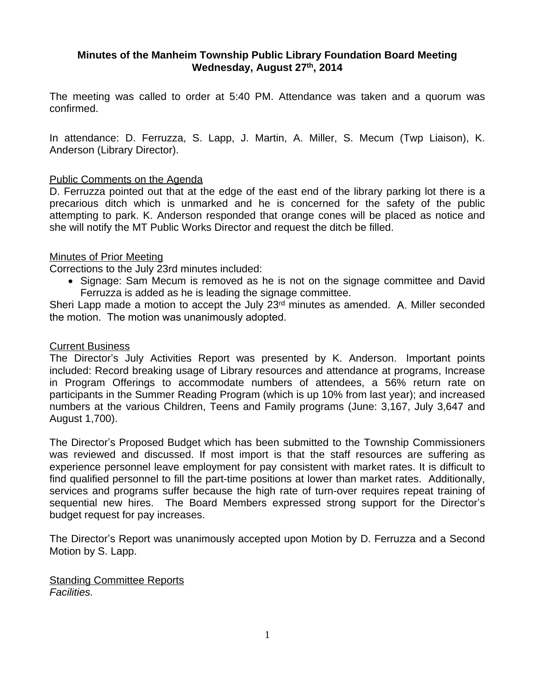# **Minutes of the Manheim Township Public Library Foundation Board Meeting Wednesday, August 27th , 2014**

The meeting was called to order at 5:40 PM. Attendance was taken and a quorum was confirmed.

In attendance: D. Ferruzza, S. Lapp, J. Martin, A. Miller, S. Mecum (Twp Liaison), K. Anderson (Library Director).

### Public Comments on the Agenda

D. Ferruzza pointed out that at the edge of the east end of the library parking lot there is a precarious ditch which is unmarked and he is concerned for the safety of the public attempting to park. K. Anderson responded that orange cones will be placed as notice and she will notify the MT Public Works Director and request the ditch be filled.

### Minutes of Prior Meeting

Corrections to the July 23rd minutes included:

• Signage: Sam Mecum is removed as he is not on the signage committee and David Ferruzza is added as he is leading the signage committee.

Sheri Lapp made a motion to accept the July 23<sup>rd</sup> minutes as amended. A. Miller seconded the motion. The motion was unanimously adopted.

#### Current Business

The Director's July Activities Report was presented by K. Anderson. Important points included: Record breaking usage of Library resources and attendance at programs, Increase in Program Offerings to accommodate numbers of attendees, a 56% return rate on participants in the Summer Reading Program (which is up 10% from last year); and increased numbers at the various Children, Teens and Family programs (June: 3,167, July 3,647 and August 1,700).

The Director's Proposed Budget which has been submitted to the Township Commissioners was reviewed and discussed. If most import is that the staff resources are suffering as experience personnel leave employment for pay consistent with market rates. It is difficult to find qualified personnel to fill the part-time positions at lower than market rates. Additionally, services and programs suffer because the high rate of turn-over requires repeat training of sequential new hires. The Board Members expressed strong support for the Director's budget request for pay increases.

The Director's Report was unanimously accepted upon Motion by D. Ferruzza and a Second Motion by S. Lapp.

**Standing Committee Reports** *Facilities.*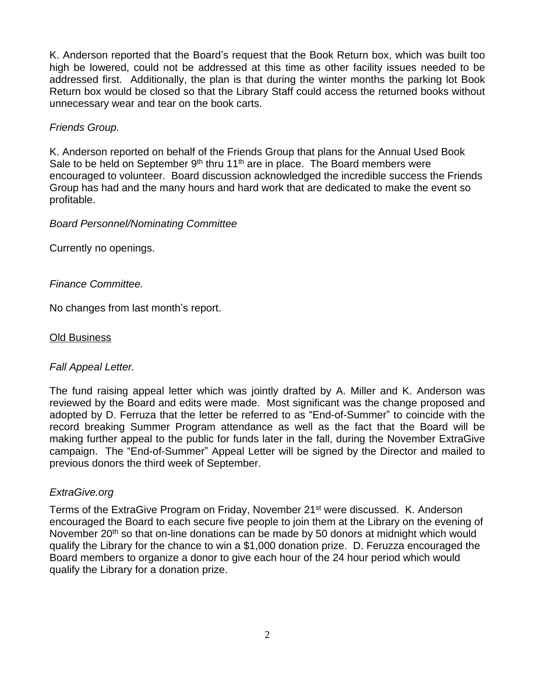K. Anderson reported that the Board's request that the Book Return box, which was built too high be lowered, could not be addressed at this time as other facility issues needed to be addressed first. Additionally, the plan is that during the winter months the parking lot Book Return box would be closed so that the Library Staff could access the returned books without unnecessary wear and tear on the book carts.

## *Friends Group.*

K. Anderson reported on behalf of the Friends Group that plans for the Annual Used Book Sale to be held on September  $9<sup>th</sup>$  thru 11<sup>th</sup> are in place. The Board members were encouraged to volunteer. Board discussion acknowledged the incredible success the Friends Group has had and the many hours and hard work that are dedicated to make the event so profitable.

## *Board Personnel/Nominating Committee*

Currently no openings.

# *Finance Committee.*

No changes from last month's report.

# Old Business

# *Fall Appeal Letter.*

The fund raising appeal letter which was jointly drafted by A. Miller and K. Anderson was reviewed by the Board and edits were made. Most significant was the change proposed and adopted by D. Ferruza that the letter be referred to as "End-of-Summer" to coincide with the record breaking Summer Program attendance as well as the fact that the Board will be making further appeal to the public for funds later in the fall, during the November ExtraGive campaign. The "End-of-Summer" Appeal Letter will be signed by the Director and mailed to previous donors the third week of September.

## *ExtraGive.org*

Terms of the ExtraGive Program on Friday, November 21st were discussed. K. Anderson encouraged the Board to each secure five people to join them at the Library on the evening of November 20<sup>th</sup> so that on-line donations can be made by 50 donors at midnight which would qualify the Library for the chance to win a \$1,000 donation prize. D. Feruzza encouraged the Board members to organize a donor to give each hour of the 24 hour period which would qualify the Library for a donation prize.